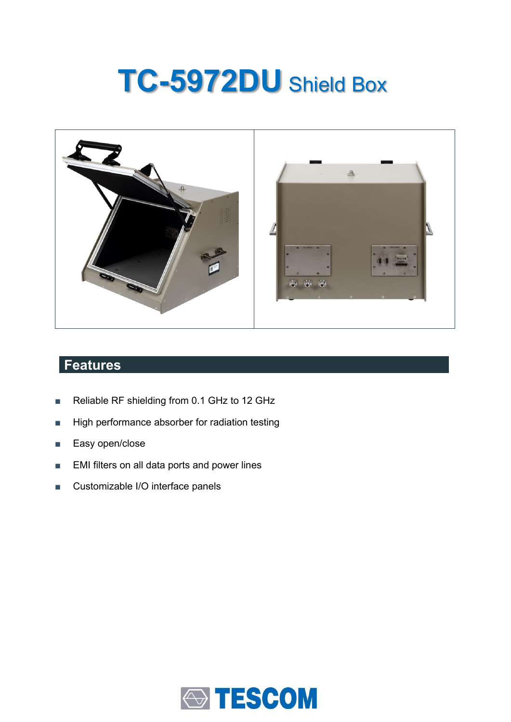# **TC-5972DU** Shield Box



# **Features**

- Reliable RF shielding from 0.1 GHz to 12 GHz
- High performance absorber for radiation testing
- Easy open/close
- EMI filters on all data ports and power lines
- Customizable I/O interface panels

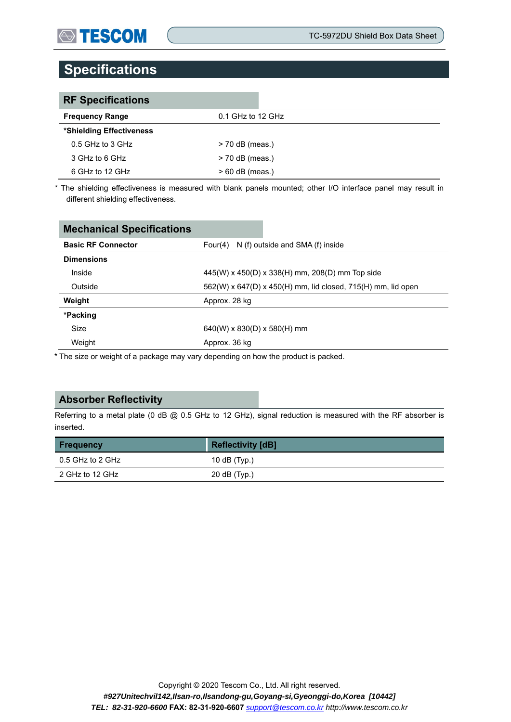# **Specifications**

| <b>RF Specifications</b> |                     |
|--------------------------|---------------------|
| <b>Frequency Range</b>   | $0.1$ GHz to 12 GHz |
| *Shielding Effectiveness |                     |
| $0.5$ GHz to 3 GHz       | $>$ 70 dB (meas.)   |
| 3 GHz to 6 GHz           | > 70 dB (meas.)     |
| 6 GHz to 12 GHz          | $> 60$ dB (meas.)   |

\* The shielding effectiveness is measured with blank panels mounted; other I/O interface panel may result in different shielding effectiveness.

| <b>Mechanical Specifications</b> |                                                              |  |  |
|----------------------------------|--------------------------------------------------------------|--|--|
| <b>Basic RF Connector</b>        | N (f) outside and SMA (f) inside<br>Four $(4)$               |  |  |
| <b>Dimensions</b>                |                                                              |  |  |
| Inside                           | $445(W)$ x $450(D)$ x $338(H)$ mm, $208(D)$ mm Top side      |  |  |
| Outside                          | 562(W) x 647(D) x 450(H) mm, lid closed, 715(H) mm, lid open |  |  |
| Weight                           | Approx. 28 kg                                                |  |  |
| *Packing                         |                                                              |  |  |
| Size                             | $640(W)$ x 830(D) x 580(H) mm                                |  |  |
| Weight                           | Approx. 36 kg                                                |  |  |

\* The size or weight of a package may vary depending on how the product is packed.

### **Absorber Reflectivity**

Referring to a metal plate (0 dB @ 0.5 GHz to 12 GHz), signal reduction is measured with the RF absorber is inserted.

| <b>Frequency</b> | <b>Reflectivity [dB]</b> |  |
|------------------|--------------------------|--|
| 0.5 GHz to 2 GHz | 10 $dB(Typ.)$            |  |
| 2 GHz to 12 GHz  | $20$ dB (Typ.)           |  |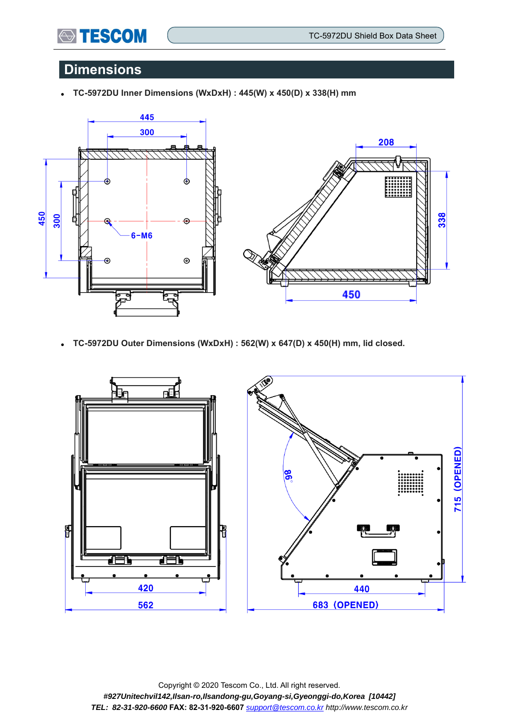### **Dimensions**

**STESCOM** 

⚫ **TC-5972DU Inner Dimensions (WxDxH) : 445(W) x 450(D) x 338(H) mm** 



⚫ **TC-5972DU Outer Dimensions (WxDxH) : 562(W) x 647(D) x 450(H) mm, lid closed.**



Copyright © 2020 Tescom Co., Ltd. All right reserved. *#927Unitechvil142,Ilsan-ro,Ilsandong-gu,Goyang-si,Gyeonggi-do,Korea [10442] TEL: 82-31-920-6600* **FAX: 82-31-920-6607** *[support@tescom.co.kr](mailto:support@tescom.co.kr) http://www.tescom.co.kr*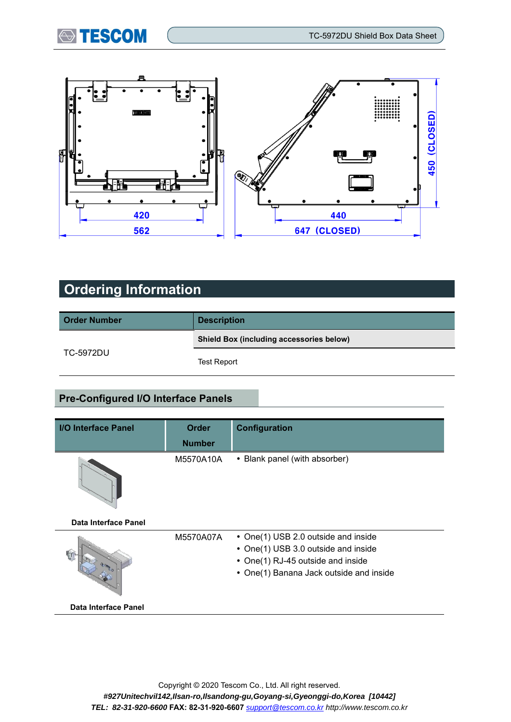



# **Ordering Information**

| <b>Order Number</b> | <b>Description</b>                              |  |  |
|---------------------|-------------------------------------------------|--|--|
|                     | <b>Shield Box (including accessories below)</b> |  |  |
| TC-5972DU           | <b>Test Report</b>                              |  |  |

### **Pre-Configured I/O Interface Panels**

| I/O Interface Panel  | <b>Order</b>  | <b>Configuration</b>                    |  |
|----------------------|---------------|-----------------------------------------|--|
|                      | <b>Number</b> |                                         |  |
|                      | M5570A10A     | • Blank panel (with absorber)           |  |
| Data Interface Panel |               |                                         |  |
|                      | M5570A07A     | • One(1) USB 2.0 outside and inside     |  |
|                      |               | • One(1) USB 3.0 outside and inside     |  |
|                      |               | • One(1) RJ-45 outside and inside       |  |
|                      |               | • One(1) Banana Jack outside and inside |  |
| Data Interface Panel |               |                                         |  |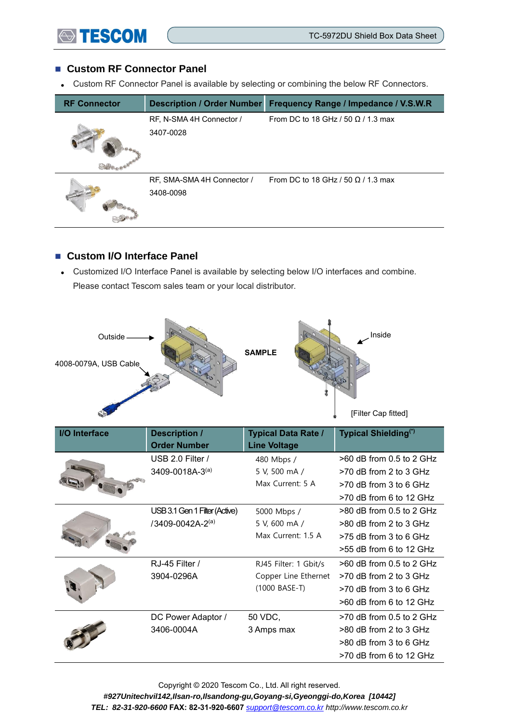#### ■ Custom RF Connector Panel

⚫ Custom RF Connector Panel is available by selecting or combining the below RF Connectors.

| <b>RF Connector</b> | <b>Description / Order Number</b> | Frequency Range / Impedance / V.S.W.R     |
|---------------------|-----------------------------------|-------------------------------------------|
|                     | RF, N-SMA 4H Connector /          | From DC to 18 GHz / 50 $\Omega$ / 1.3 max |
|                     | 3407-0028                         |                                           |
|                     | RF, SMA-SMA 4H Connector /        | From DC to 18 GHz / 50 $\Omega$ / 1.3 max |
|                     | 3408-0098                         |                                           |

### ■ Custom I/O Interface Panel

⚫ Customized I/O Interface Panel is available by selecting below I/O interfaces and combine. Please contact Tescom sales team or your local distributor.



| I/O Interface | <b>Description /</b><br><b>Order Number</b> | <b>Typical Data Rate /</b><br><b>Line Voltage</b> | Typical Shielding <sup>(*)</sup> |
|---------------|---------------------------------------------|---------------------------------------------------|----------------------------------|
|               | USB 2.0 Filter /                            | 480 Mbps /                                        | $>60$ dB from 0.5 to 2 GHz       |
|               | 3409-0018A-3(a)                             | 5 V, 500 mA /                                     | >70 dB from 2 to 3 GHz           |
|               |                                             | Max Current: 5 A                                  | $>70$ dB from 3 to 6 GHz         |
|               |                                             |                                                   | >70 dB from 6 to 12 GHz          |
|               | USB 3.1 Gen 1 Filter (Active)               | 5000 Mbps /                                       | >80 dB from 0.5 to 2 GHz         |
|               | /3409-0042A-2(a)                            | 5 V, 600 mA /                                     | $>80$ dB from 2 to 3 GHz         |
|               |                                             | Max Current: 1.5 A                                | $>75$ dB from 3 to 6 GHz         |
|               |                                             |                                                   | $>55$ dB from 6 to 12 GHz        |
|               | RJ-45 Filter /                              | RJ45 Filter: 1 Gbit/s                             | $>60$ dB from 0.5 to 2 GHz       |
|               | 3904-0296A                                  | Copper Line Ethernet                              | $>70$ dB from 2 to 3 GHz         |
|               |                                             | $(1000 BASE-T)$                                   | $>70$ dB from 3 to 6 GHz         |
|               |                                             |                                                   | $>60$ dB from 6 to 12 GHz        |
|               | DC Power Adaptor /                          | 50 VDC,                                           | $>70$ dB from 0.5 to 2 GHz       |
|               | 3406-0004A                                  | 3 Amps max                                        | >80 dB from 2 to 3 GHz           |
|               |                                             |                                                   | >80 dB from 3 to 6 GHz           |
|               |                                             |                                                   | $>70$ dB from 6 to 12 GHz        |

Copyright © 2020 Tescom Co., Ltd. All right reserved. *#927Unitechvil142,Ilsan-ro,Ilsandong-gu,Goyang-si,Gyeonggi-do,Korea [10442] TEL: 82-31-920-6600* **FAX: 82-31-920-6607** *[support@tescom.co.kr](mailto:support@tescom.co.kr) http://www.tescom.co.kr*